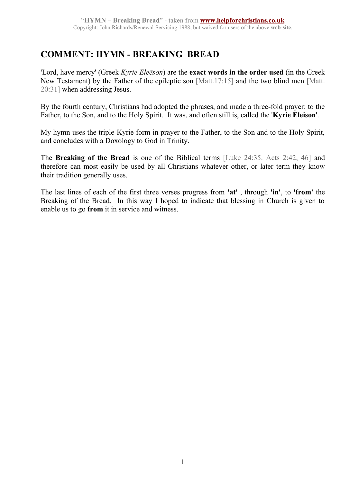## **COMMENT: HYMN - BREAKING BREAD**

'Lord, have mercy' (Greek *Kyrie Eleēson*) are the **exact words in the order used** (in the Greek New Testament) by the Father of the epileptic son [Matt.17:15] and the two blind men [Matt. 20:31] when addressing Jesus.

By the fourth century, Christians had adopted the phrases, and made a three-fold prayer: to the Father, to the Son, and to the Holy Spirit. It was, and often still is, called the '**Kyrie Eleison**'.

My hymn uses the triple-Kyrie form in prayer to the Father, to the Son and to the Holy Spirit, and concludes with a Doxology to God in Trinity.

The **Breaking of the Bread** is one of the Biblical terms [Luke 24:35. Acts 2:42, 46] and therefore can most easily be used by all Christians whatever other, or later term they know their tradition generally uses.

The last lines of each of the first three verses progress from **'at'** , through **'in'**, to **'from'** the Breaking of the Bread. In this way I hoped to indicate that blessing in Church is given to enable us to go **from** it in service and witness.